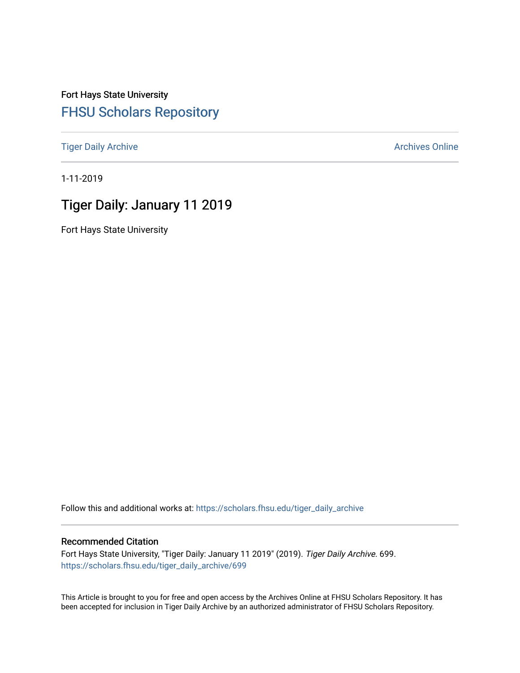Fort Hays State University [FHSU Scholars Repository](https://scholars.fhsu.edu/) 

[Tiger Daily Archive](https://scholars.fhsu.edu/tiger_daily_archive) **Archives** Online Archives Online

1-11-2019

# Tiger Daily: January 11 2019

Fort Hays State University

Follow this and additional works at: [https://scholars.fhsu.edu/tiger\\_daily\\_archive](https://scholars.fhsu.edu/tiger_daily_archive?utm_source=scholars.fhsu.edu%2Ftiger_daily_archive%2F699&utm_medium=PDF&utm_campaign=PDFCoverPages)

#### Recommended Citation

Fort Hays State University, "Tiger Daily: January 11 2019" (2019). Tiger Daily Archive. 699. [https://scholars.fhsu.edu/tiger\\_daily\\_archive/699](https://scholars.fhsu.edu/tiger_daily_archive/699?utm_source=scholars.fhsu.edu%2Ftiger_daily_archive%2F699&utm_medium=PDF&utm_campaign=PDFCoverPages)

This Article is brought to you for free and open access by the Archives Online at FHSU Scholars Repository. It has been accepted for inclusion in Tiger Daily Archive by an authorized administrator of FHSU Scholars Repository.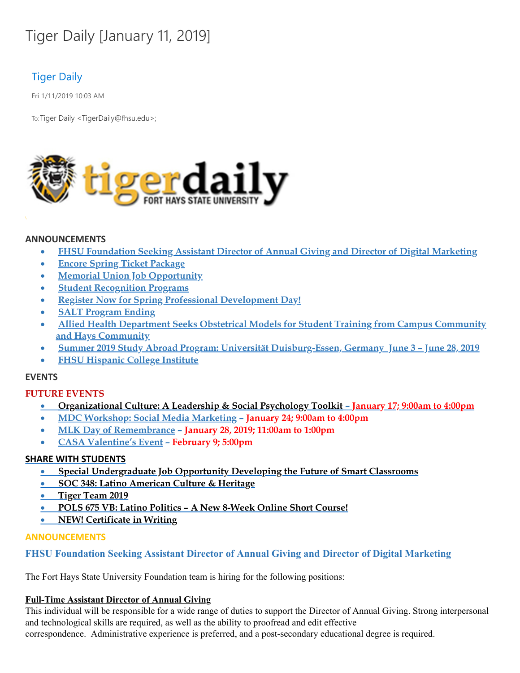# Tiger Daily [January 11, 2019]

# Tiger Daily

Fri 1/11/2019 10:03 AM

To: Tiger Daily < TigerDaily@fhsu.edu>;



#### **ANNOUNCEMENTS**

- · **FHSU Foundation Seeking Assistant Director of Annual Giving and Director of Digital Marketing**
- · **Encore Spring Ticket Package**
- · **Memorial Union Job Opportunity**
- · **Student Recognition Programs**
- · **Register Now for Spring Professional Development Day!**
- · **SALT Program Ending**
- · **Allied Health Department Seeks Obstetrical Models for Student Training from Campus Community and Hays Community**
- · **Summer 2019 Study Abroad Program: Universität Duisburg-Essen, Germany June 3 – June 28, 2019**
- · **FHSU Hispanic College Institute**

#### **EVENTS**

#### **FUTURE EVENTS**

- · **Organizational Culture: A Leadership & Social Psychology Toolkit – January 17; 9:00am to 4:00pm**
- · **MDC Workshop: Social Media Marketing – January 24; 9:00am to 4:00pm**
- · **MLK Day of Remembrance – January 28, 2019; 11:00am to 1:00pm**
- · **CASA Valentine's Event – February 9; 5:00pm**

#### **SHARE WITH STUDENTS**

- · **Special Undergraduate Job Opportunity Developing the Future of Smart Classrooms**
- · **SOC 348: Latino American Culture & Heritage**
- · **Tiger Team 2019**
- · **POLS 675 VB: Latino Politics – A New 8-Week Online Short Course!**
- · **NEW! Certificate in Writing**

#### **ANNOUNCEMENTS**

#### **FHSU Foundation Seeking Assistant Director of Annual Giving and Director of Digital Marketing**

The Fort Hays State University Foundation team is hiring for the following positions:

#### **Full-Time Assistant Director of Annual Giving**

This individual will be responsible for a wide range of duties to support the Director of Annual Giving. Strong interpersonal and technological skills are required, as well as the ability to proofread and edit effective correspondence. Administrative experience is preferred, and a post-secondary educational degree is required.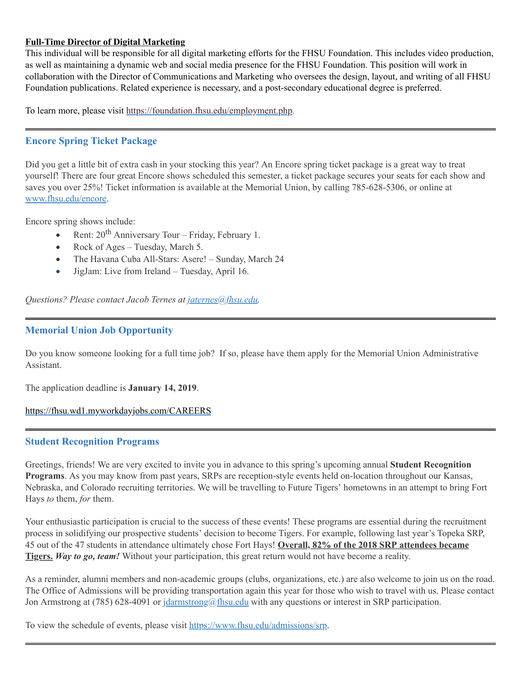#### **Full-Time Director of Digital Marketing**

This individual will be responsible for all digital marketing efforts for the FHSU Foundation. This includes video production, as well as maintaining a dynamic web and social media presence for the FHSU Foundation. This position will work in collaboration with the Director of Communications and Marketing who oversees the design, layout, and writing of all FHSU Foundation publications. Related experience is necessary, and a post-secondary educational degree is preferred.

To learn more, please visit [https://foundation.fhsu.edu/employment.php.](https://foundation.fhsu.edu/employment.php)

# **Encore Spring Ticket Package**

Did you get a little bit of extra cash in your stocking this year? An Encore spring ticket package is a great way to treat yourself! There are four great Encore shows scheduled this semester, a ticket package secures your seats for each show and saves you over 25%! Ticket information is available at the Memorial Union, by calling 785-628-5306, or online at [www.fhsu.edu/encore.](http://www.fhsu.edu/encore)

Encore spring shows include:

- Rent:  $20^{th}$  Anniversary Tour Friday, February 1.
- Rock of Ages Tuesday, March 5.
- The Havana Cuba All-Stars: Asere! Sunday, March 24
- · JigJam: Live from Ireland Tuesday, April 16.

*Questions? Please contact Jacob Ternes at [jaternes@fhsu.edu.](mailto:jaternes@fhsu.edu)*

# **Memorial Union Job Opportunity**

Do you know someone looking for a full time job? If so, please have them apply for the Memorial Union Administrative Assistant.

The application deadline is **January 14, 2019**.

<https://fhsu.wd1.myworkdayjobs.com/CAREERS>

#### **Student Recognition Programs**

Greetings, friends! We are very excited to invite you in advance to this spring's upcoming annual **Student Recognition Programs**. As you may know from past years, SRPs are reception-style events held on-location throughout our Kansas, Nebraska, and Colorado recruiting territories. We will be travelling to Future Tigers' hometowns in an attempt to bring Fort Hays *to* them, *for* them.

Your enthusiastic participation is crucial to the success of these events! These programs are essential during the recruitment process in solidifying our prospective students' decision to become Tigers. For example, following last year's Topeka SRP, 45 out of the 47 students in attendance ultimately chose Fort Hays! **Overall, 82% of the 2018 SRP attendees became Tigers.** *Way to go, team!* Without your participation, this great return would not have become a reality.

As a reminder, alumni members and non-academic groups (clubs, organizations, etc.) are also welcome to join us on the road. The Office of Admissions will be providing transportation again this year for those who wish to travel with us. Please contact Jon Armstrong at (785) 628-4091 or [jdarmstrong@fhsu.edu](mailto:jdarmstrong@fhsu.edu) with any questions or interest in SRP participation.

To view the schedule of events, please visit <https://www.fhsu.edu/admissions/srp>.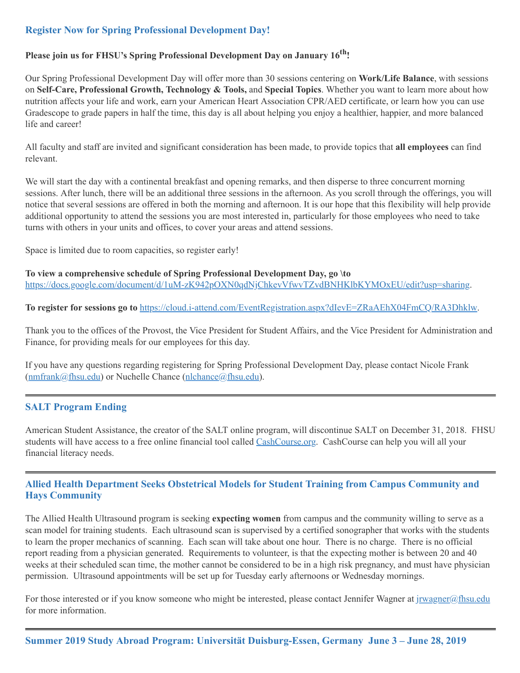# **Register Now for Spring Professional Development Day!**

# **Please join us for FHSU's Spring Professional Development Day on January 16 th !**

Our Spring Professional Development Day will offer more than 30 sessions centering on **Work/Life Balance**, with sessions on **Self-Care, Professional Growth, Technology & Tools,** and **Special Topics**. Whether you want to learn more about how nutrition affects your life and work, earn your American Heart Association CPR/AED certificate, or learn how you can use Gradescope to grade papers in half the time, this day is all about helping you enjoy a healthier, happier, and more balanced life and career!

All faculty and staff are invited and significant consideration has been made, to provide topics that **all employees** can find relevant.

We will start the day with a continental breakfast and opening remarks, and then disperse to three concurrent morning sessions. After lunch, there will be an additional three sessions in the afternoon. As you scroll through the offerings, you will notice that several sessions are offered in both the morning and afternoon. It is our hope that this flexibility will help provide additional opportunity to attend the sessions you are most interested in, particularly for those employees who need to take turns with others in your units and offices, to cover your areas and attend sessions.

Space is limited due to room capacities, so register early!

**To view a comprehensive schedule of Spring Professional Development Day, go \to** <https://docs.google.com/document/d/1uM-zK942pOXN0qdNjChkevVfwvTZvdBNHKlbKYMOxEU/edit?usp=sharing>.

**To register for sessions go to** <https://cloud.i-attend.com/EventRegistration.aspx?dIevE=ZRaAEhX04FmCQ/RA3Dhklw>.

Thank you to the offices of the Provost, the Vice President for Student Affairs, and the Vice President for Administration and Finance, for providing meals for our employees for this day.

If you have any questions regarding registering for Spring Professional Development Day, please contact Nicole Frank ([nmfrank@fhsu.edu](mailto:nmfrank@fhsu.edu)) or Nuchelle Chance ([nlchance@fhsu.edu](mailto:nlchance@fhsu.edu)).

#### **SALT Program Ending**

American Student Assistance, the creator of the SALT online program, will discontinue SALT on December 31, 2018. FHSU students will have access to a free online financial tool called [CashCourse.org](https://www.cashcourse.org/). CashCourse can help you will all your financial literacy needs.

# **Allied Health Department Seeks Obstetrical Models for Student Training from Campus Community and Hays Community**

The Allied Health Ultrasound program is seeking **expecting women** from campus and the community willing to serve as a scan model for training students. Each ultrasound scan is supervised by a certified sonographer that works with the students to learn the proper mechanics of scanning. Each scan will take about one hour. There is no charge. There is no official report reading from a physician generated. Requirements to volunteer, is that the expecting mother is between 20 and 40 weeks at their scheduled scan time, the mother cannot be considered to be in a high risk pregnancy, and must have physician permission. Ultrasound appointments will be set up for Tuesday early afternoons or Wednesday mornings.

For those interested or if you know someone who might be interested, please contact Jennifer Wagner at [jrwagner@fhsu.edu](mailto:jrwagner@fhsu.edu) for more information.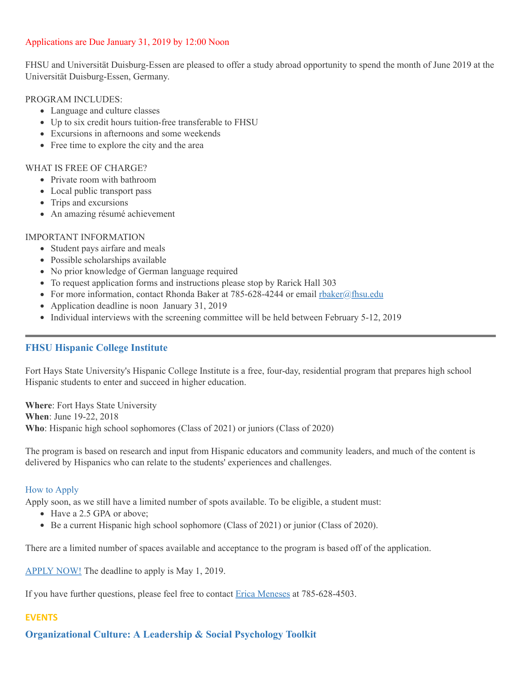#### Applications are Due January 31, 2019 by 12:00 Noon

FHSU and Universität Duisburg-Essen are pleased to offer a study abroad opportunity to spend the month of June 2019 at the Universität Duisburg-Essen, Germany.

#### PROGRAM INCLUDES:

- Language and culture classes
- Up to six credit hours tuition-free transferable to FHSU
- Excursions in afternoons and some weekends
- Free time to explore the city and the area

#### WHAT IS FREE OF CHARGE?

- Private room with bathroom
- Local public transport pass
- Trips and excursions
- An amazing résumé achievement

#### IMPORTANT INFORMATION

- Student pays airfare and meals
- Possible scholarships available
- No prior knowledge of German language required
- To request application forms and instructions please stop by Rarick Hall 303
- For more information, contact Rhonda Baker at 785-628-4244 or email [rbaker@fhsu.edu](mailto:rbaker@fhsu.edu)
- Application deadline is noon January 31, 2019
- Individual interviews with the screening committee will be held between February 5-12, 2019

#### **FHSU Hispanic College Institute**

Fort Hays State University's Hispanic College Institute is a free, four-day, residential program that prepares high school Hispanic students to enter and succeed in higher education.

**Where**: Fort Hays State University **When**: June 19-22, 2018 **Who**: Hispanic high school sophomores (Class of 2021) or juniors (Class of 2020)

The program is based on research and input from Hispanic educators and community leaders, and much of the content is delivered by Hispanics who can relate to the students' experiences and challenges.

#### How to Apply

Apply soon, as we still have a limited number of spots available. To be eligible, a student must:

- Have a 2.5 GPA or above;
- Be a current Hispanic high school sophomore (Class of 2021) or junior (Class of 2020).

There are a limited number of spaces available and acceptance to the program is based off of the application.

[APPLY](https://webapps.fhsu.edu/hciapplication/) NOW! The deadline to apply is May 1, 2019.

If you have further questions, please feel free to contact Erica [Meneses](mailto:mailto:h_perez@fhsu.edu?subject=mailto:h_perez@fhsu.edu) at 785-628-4503.

#### **EVENTS**

**Organizational Culture: A Leadership & Social Psychology Toolkit**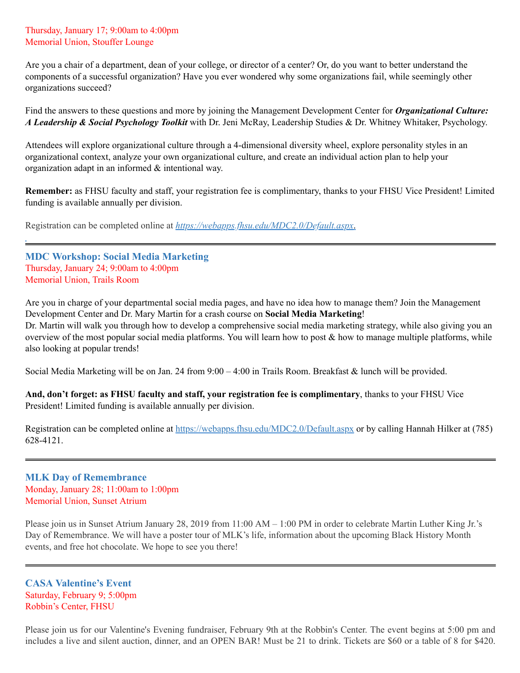#### Thursday, January 17; 9:00am to 4:00pm Memorial Union, Stouffer Lounge

Are you a chair of a department, dean of your college, or director of a center? Or, do you want to better understand the components of a successful organization? Have you ever wondered why some organizations fail, while seemingly other organizations succeed?

Find the answers to these questions and more by joining the Management Development Center for *Organizational Culture: A Leadership & Social Psychology Toolkit* with Dr. Jeni McRay, Leadership Studies & Dr. Whitney Whitaker, Psychology.

Attendees will explore organizational culture through a 4-dimensional diversity wheel, explore personality styles in an organizational context, analyze your own organizational culture, and create an individual action plan to help your organization adapt in an informed & intentional way.

**Remember:** as FHSU faculty and staff, your registration fee is complimentary, thanks to your FHSU Vice President! Limited funding is available annually per division.

Registration can be completed online at *<https://webapps.fhsu.edu/MDC2.0/Default.aspx>*.

**MDC Workshop: Social Media Marketing** Thursday, January 24; 9:00am to 4:00pm Memorial Union, Trails Room

Are you in charge of your departmental social media pages, and have no idea how to manage them? Join the Management Development Center and Dr. Mary Martin for a crash course on **Social Media Marketing**!

Dr. Martin will walk you through how to develop a comprehensive social media marketing strategy, while also giving you an overview of the most popular social media platforms. You will learn how to post & how to manage multiple platforms, while also looking at popular trends!

Social Media Marketing will be on Jan. 24 from 9:00 – 4:00 in Trails Room. Breakfast & lunch will be provided.

**And, don't forget: as FHSU faculty and staff, your registration fee is complimentary**, thanks to your FHSU Vice President! Limited funding is available annually per division.

Registration can be completed online at <https://webapps.fhsu.edu/MDC2.0/Default.aspx> or by calling Hannah Hilker at (785) 628-4121.

#### **MLK Day of Remembrance** Monday, January 28; 11:00am to 1:00pm Memorial Union, Sunset Atrium

Please join us in Sunset Atrium January 28, 2019 from 11:00 AM – 1:00 PM in order to celebrate Martin Luther King Jr. 's Day of Remembrance. We will have a poster tour of MLK's life, information about the upcoming Black History Month events, and free hot chocolate. We hope to see you there!

**CASA Valentine's Event** Saturday, February 9; 5:00pm Robbin's Center, FHSU

Please join us for our Valentine's Evening fundraiser, February 9th at the Robbin's Center. The event begins at 5:00 pm and includes a live and silent auction, dinner, and an OPEN BAR! Must be 21 to drink. Tickets are \$60 or a table of 8 for \$420.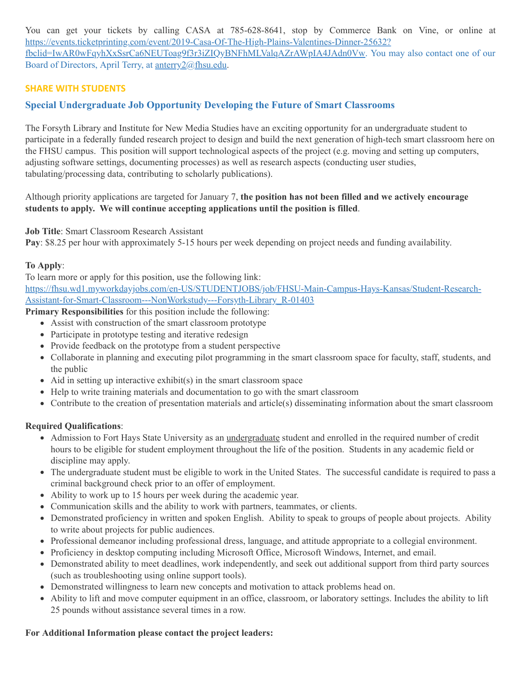You can get your tickets by calling CASA at 785-628-8641, stop by Commerce Bank on Vine, or online at [https://events.ticketprinting.com/event/2019-Casa-Of-The-High-Plains-Valentines-Dinner-25632?](https://events.ticketprinting.com/event/2019-Casa-Of-The-High-Plains-Valentines-Dinner-25632?fbclid=IwAR0wFqyhXxSsrCa6NEUToag9f3r3iZIQyBNFhMLValqAZrAWpIA4JAdn0Vw) fbclid=IwAR0wFqyhXxSsrCa6NEUToag9f3r3iZIQyBNFhMLValqAZrAWpIA4JAdn0Vw. You may also contact one of our Board of Directors, April Terry, at [anterry2@fhsu.edu](mailto:anterry2@fhsu.edu).

# **SHARE WITH STUDENTS**

# **Special Undergraduate Job Opportunity Developing the Future of Smart Classrooms**

The Forsyth Library and Institute for New Media Studies have an exciting opportunity for an undergraduate student to participate in a federally funded research project to design and build the next generation of high-tech smart classroom here on the FHSU campus. This position will support technological aspects of the project (e.g. moving and setting up computers, adjusting software settings, documenting processes) as well as research aspects (conducting user studies, tabulating/processing data, contributing to scholarly publications).

Although priority applications are targeted for January 7, **the position has not been filled and we actively encourage students to apply. We will continue accepting applications until the position is filled**.

**Job Title**: Smart Classroom Research Assistant

**Pay**: \$8.25 per hour with approximately 5-15 hours per week depending on project needs and funding availability.

#### **To Apply**:

To learn more or apply for this position, use the following link: [https://fhsu.wd1.myworkdayjobs.com/en-US/STUDENTJOBS/job/FHSU-Main-Campus-Hays-Kansas/Student-Research-](https://linkprotect.cudasvc.com/url?a=https%3a%2f%2ffhsu.wd1.myworkdayjobs.com%2fen-US%2fSTUDENTJOBS%2fjob%2fFHSU-Main-Campus-Hays-Kansas%2fStudent-Research-Assistant-for-Smart-Classroom---NonWorkstudy---Forsyth-Library_R-01403&c=E,1,MHOpI6_hNRjh56-tpmZoLcKFaLKYFAyGyVS8Wczfaj_q4Vovia1MyiRpl7_dwYxnceWtDKAbDADFlIDkswbWmxBe5Kmc0yvR9L3GJEBlZUsdJA,,&typo=1)

Assistant-for-Smart-Classroom---NonWorkstudy---Forsyth-Library\_R-01403

**Primary Responsibilities** for this position include the following:

- Assist with construction of the smart classroom prototype
- Participate in prototype testing and iterative redesign
- Provide feedback on the prototype from a student perspective
- Collaborate in planning and executing pilot programming in the smart classroom space for faculty, staff, students, and the public
- $\bullet$  Aid in setting up interactive exhibit(s) in the smart classroom space
- Help to write training materials and documentation to go with the smart classroom
- Contribute to the creation of presentation materials and article(s) disseminating information about the smart classroom

#### **Required Qualifications**:

- Admission to Fort Hays State University as an *undergraduate* student and enrolled in the required number of credit hours to be eligible for student employment throughout the life of the position. Students in any academic field or discipline may apply.
- The undergraduate student must be eligible to work in the United States. The successful candidate is required to pass a criminal background check prior to an offer of employment.
- Ability to work up to 15 hours per week during the academic year.
- Communication skills and the ability to work with partners, teammates, or clients.
- Demonstrated proficiency in written and spoken English. Ability to speak to groups of people about projects. Ability to write about projects for public audiences.
- Professional demeanor including professional dress, language, and attitude appropriate to a collegial environment.
- Proficiency in desktop computing including Microsoft Office, Microsoft Windows, Internet, and email.
- Demonstrated ability to meet deadlines, work independently, and seek out additional support from third party sources (such as troubleshooting using online support tools).
- Demonstrated willingness to learn new concepts and motivation to attack problems head on.
- Ability to lift and move computer equipment in an office, classroom, or laboratory settings. Includes the ability to lift 25 pounds without assistance several times in a row.

#### **For Additional Information please contact the project leaders:**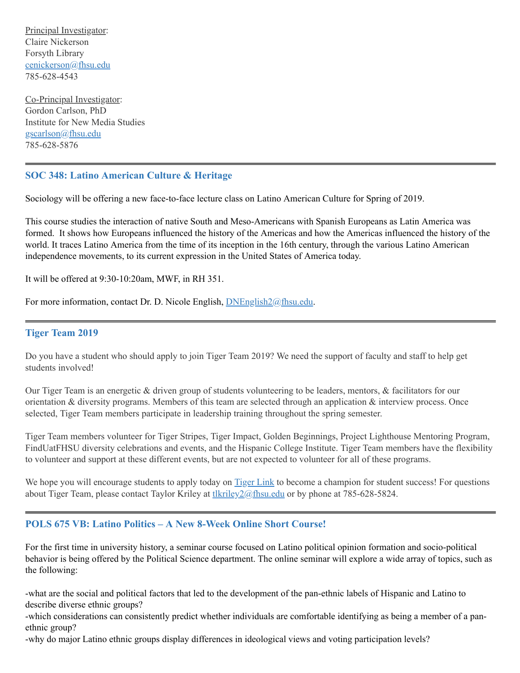Principal Investigator: Claire Nickerson Forsyth Library [cenickerson@fhsu.edu](mailto:cenickerson@fhsu.edu) 785-628-4543

Co-Principal Investigator: Gordon Carlson, PhD Institute for New Media Studies [gscarlson@fhsu.edu](mailto:gscarlson@fhsu.edu) 785-628-5876

# **SOC 348: Latino American Culture & Heritage**

Sociology will be offering a new face-to-face lecture class on Latino American Culture for Spring of 2019.

This course studies the interaction of native South and Meso-Americans with Spanish Europeans as Latin America was formed. It shows how Europeans influenced the history of the Americas and how the Americas influenced the history of the world. It traces Latino America from the time of its inception in the 16th century, through the various Latino American independence movements, to its current expression in the United States of America today.

It will be offered at 9:30-10:20am, MWF, in RH 351.

For more information, contact Dr. D. Nicole English, **DNEnglish2@fhsu.edu**.

#### **Tiger Team 2019**

Do you have a student who should apply to join Tiger Team 2019? We need the support of faculty and staff to help get students involved!

Our Tiger Team is an energetic & driven group of students volunteering to be leaders, mentors, & facilitators for our orientation & diversity programs. Members of this team are selected through an application & interview process. Once selected, Tiger Team members participate in leadership training throughout the spring semester.

Tiger Team members volunteer for Tiger Stripes, Tiger Impact, Golden Beginnings, Project Lighthouse Mentoring Program, FindUatFHSU diversity celebrations and events, and the Hispanic College Institute. Tiger Team members have the flexibility to volunteer and support at these different events, but are not expected to volunteer for all of these programs.

We hope you will encourage students to apply today on [Tiger](https://tigerlink.fhsu.edu/submitter/form/start/236691) Link to become a champion for student success! For questions about Tiger Team, please contact Taylor Kriley at the university of the use of by phone at 785-628-5824.

#### **POLS 675 VB: Latino Politics – A New 8-Week Online Short Course!**

For the first time in university history, a seminar course focused on Latino political opinion formation and socio-political behavior is being offered by the Political Science department. The online seminar will explore a wide array of topics, such as the following:

-what are the social and political factors that led to the development of the pan-ethnic labels of Hispanic and Latino to describe diverse ethnic groups?

-which considerations can consistently predict whether individuals are comfortable identifying as being a member of a panethnic group?

-why do major Latino ethnic groups display differences in ideological views and voting participation levels?